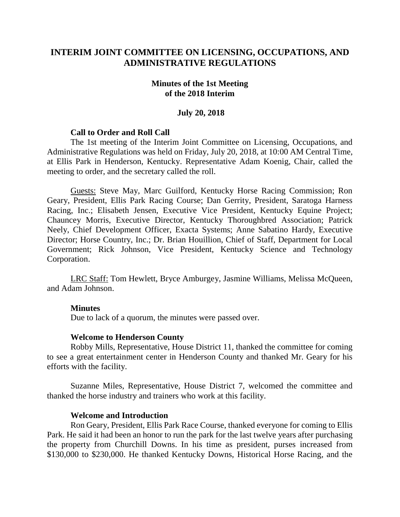## **INTERIM JOINT COMMITTEE ON LICENSING, OCCUPATIONS, AND ADMINISTRATIVE REGULATIONS**

#### **Minutes of the 1st Meeting of the 2018 Interim**

#### **July 20, 2018**

#### **Call to Order and Roll Call**

The 1st meeting of the Interim Joint Committee on Licensing, Occupations, and Administrative Regulations was held on Friday, July 20, 2018, at 10:00 AM Central Time, at Ellis Park in Henderson, Kentucky. Representative Adam Koenig, Chair, called the meeting to order, and the secretary called the roll.

Guests: Steve May, Marc Guilford, Kentucky Horse Racing Commission; Ron Geary, President, Ellis Park Racing Course; Dan Gerrity, President, Saratoga Harness Racing, Inc.; Elisabeth Jensen, Executive Vice President, Kentucky Equine Project; Chauncey Morris, Executive Director, Kentucky Thoroughbred Association; Patrick Neely, Chief Development Officer, Exacta Systems; Anne Sabatino Hardy, Executive Director; Horse Country, Inc.; Dr. Brian Houillion, Chief of Staff, Department for Local Government; Rick Johnson, Vice President, Kentucky Science and Technology Corporation.

LRC Staff: Tom Hewlett, Bryce Amburgey, Jasmine Williams, Melissa McQueen, and Adam Johnson.

#### **Minutes**

Due to lack of a quorum, the minutes were passed over.

#### **Welcome to Henderson County**

Robby Mills, Representative, House District 11, thanked the committee for coming to see a great entertainment center in Henderson County and thanked Mr. Geary for his efforts with the facility.

Suzanne Miles, Representative, House District 7, welcomed the committee and thanked the horse industry and trainers who work at this facility.

#### **Welcome and Introduction**

Ron Geary, President, Ellis Park Race Course, thanked everyone for coming to Ellis Park. He said it had been an honor to run the park for the last twelve years after purchasing the property from Churchill Downs. In his time as president, purses increased from \$130,000 to \$230,000. He thanked Kentucky Downs, Historical Horse Racing, and the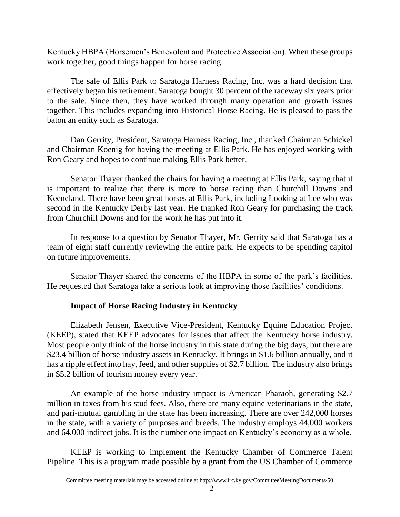Kentucky HBPA (Horsemen's Benevolent and Protective Association). When these groups work together, good things happen for horse racing.

The sale of Ellis Park to Saratoga Harness Racing, Inc. was a hard decision that effectively began his retirement. Saratoga bought 30 percent of the raceway six years prior to the sale. Since then, they have worked through many operation and growth issues together. This includes expanding into Historical Horse Racing. He is pleased to pass the baton an entity such as Saratoga.

Dan Gerrity, President, Saratoga Harness Racing, Inc., thanked Chairman Schickel and Chairman Koenig for having the meeting at Ellis Park. He has enjoyed working with Ron Geary and hopes to continue making Ellis Park better.

Senator Thayer thanked the chairs for having a meeting at Ellis Park, saying that it is important to realize that there is more to horse racing than Churchill Downs and Keeneland. There have been great horses at Ellis Park, including Looking at Lee who was second in the Kentucky Derby last year. He thanked Ron Geary for purchasing the track from Churchill Downs and for the work he has put into it.

In response to a question by Senator Thayer, Mr. Gerrity said that Saratoga has a team of eight staff currently reviewing the entire park. He expects to be spending capitol on future improvements.

Senator Thayer shared the concerns of the HBPA in some of the park's facilities. He requested that Saratoga take a serious look at improving those facilities' conditions.

# **Impact of Horse Racing Industry in Kentucky**

Elizabeth Jensen, Executive Vice-President, Kentucky Equine Education Project (KEEP), stated that KEEP advocates for issues that affect the Kentucky horse industry. Most people only think of the horse industry in this state during the big days, but there are \$23.4 billion of horse industry assets in Kentucky. It brings in \$1.6 billion annually, and it has a ripple effect into hay, feed, and other supplies of \$2.7 billion. The industry also brings in \$5.2 billion of tourism money every year.

An example of the horse industry impact is American Pharaoh, generating \$2.7 million in taxes from his stud fees. Also, there are many equine veterinarians in the state, and pari-mutual gambling in the state has been increasing. There are over 242,000 horses in the state, with a variety of purposes and breeds. The industry employs 44,000 workers and 64,000 indirect jobs. It is the number one impact on Kentucky's economy as a whole.

KEEP is working to implement the Kentucky Chamber of Commerce Talent Pipeline. This is a program made possible by a grant from the US Chamber of Commerce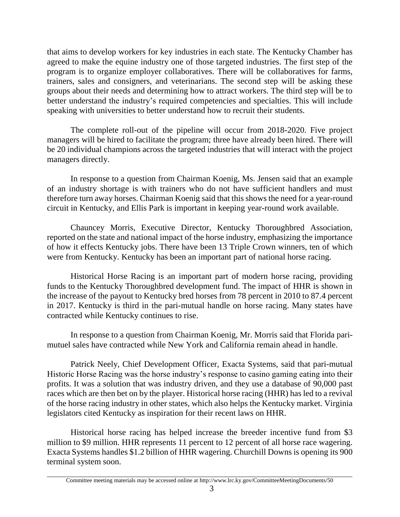that aims to develop workers for key industries in each state. The Kentucky Chamber has agreed to make the equine industry one of those targeted industries. The first step of the program is to organize employer collaboratives. There will be collaboratives for farms, trainers, sales and consigners, and veterinarians. The second step will be asking these groups about their needs and determining how to attract workers. The third step will be to better understand the industry's required competencies and specialties. This will include speaking with universities to better understand how to recruit their students.

The complete roll-out of the pipeline will occur from 2018-2020. Five project managers will be hired to facilitate the program; three have already been hired. There will be 20 individual champions across the targeted industries that will interact with the project managers directly.

In response to a question from Chairman Koenig, Ms. Jensen said that an example of an industry shortage is with trainers who do not have sufficient handlers and must therefore turn away horses. Chairman Koenig said that this shows the need for a year-round circuit in Kentucky, and Ellis Park is important in keeping year-round work available.

Chauncey Morris, Executive Director, Kentucky Thoroughbred Association, reported on the state and national impact of the horse industry, emphasizing the importance of how it effects Kentucky jobs. There have been 13 Triple Crown winners, ten of which were from Kentucky. Kentucky has been an important part of national horse racing.

Historical Horse Racing is an important part of modern horse racing, providing funds to the Kentucky Thoroughbred development fund. The impact of HHR is shown in the increase of the payout to Kentucky bred horses from 78 percent in 2010 to 87.4 percent in 2017. Kentucky is third in the pari-mutual handle on horse racing. Many states have contracted while Kentucky continues to rise.

In response to a question from Chairman Koenig, Mr. Morris said that Florida parimutuel sales have contracted while New York and California remain ahead in handle.

Patrick Neely, Chief Development Officer, Exacta Systems, said that pari-mutual Historic Horse Racing was the horse industry's response to casino gaming eating into their profits. It was a solution that was industry driven, and they use a database of 90,000 past races which are then bet on by the player. Historical horse racing (HHR) has led to a revival of the horse racing industry in other states, which also helps the Kentucky market. Virginia legislators cited Kentucky as inspiration for their recent laws on HHR.

Historical horse racing has helped increase the breeder incentive fund from \$3 million to \$9 million. HHR represents 11 percent to 12 percent of all horse race wagering. Exacta Systems handles \$1.2 billion of HHR wagering. Churchill Downs is opening its 900 terminal system soon.

Committee meeting materials may be accessed online at http://www.lrc.ky.gov/CommitteeMeetingDocuments/50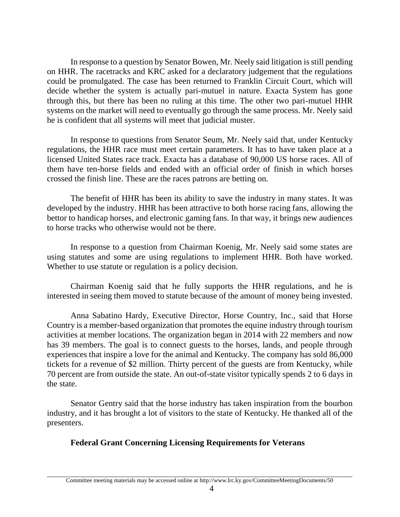In response to a question by Senator Bowen, Mr. Neely said litigation is still pending on HHR. The racetracks and KRC asked for a declaratory judgement that the regulations could be promulgated. The case has been returned to Franklin Circuit Court, which will decide whether the system is actually pari-mutuel in nature. Exacta System has gone through this, but there has been no ruling at this time. The other two pari-mutuel HHR systems on the market will need to eventually go through the same process. Mr. Neely said he is confident that all systems will meet that judicial muster.

In response to questions from Senator Seum, Mr. Neely said that, under Kentucky regulations, the HHR race must meet certain parameters. It has to have taken place at a licensed United States race track. Exacta has a database of 90,000 US horse races. All of them have ten-horse fields and ended with an official order of finish in which horses crossed the finish line. These are the races patrons are betting on.

The benefit of HHR has been its ability to save the industry in many states. It was developed by the industry. HHR has been attractive to both horse racing fans, allowing the bettor to handicap horses, and electronic gaming fans. In that way, it brings new audiences to horse tracks who otherwise would not be there.

In response to a question from Chairman Koenig, Mr. Neely said some states are using statutes and some are using regulations to implement HHR. Both have worked. Whether to use statute or regulation is a policy decision.

Chairman Koenig said that he fully supports the HHR regulations, and he is interested in seeing them moved to statute because of the amount of money being invested.

Anna Sabatino Hardy, Executive Director, Horse Country, Inc., said that Horse Country is a member-based organization that promotes the equine industry through tourism activities at member locations. The organization began in 2014 with 22 members and now has 39 members. The goal is to connect guests to the horses, lands, and people through experiences that inspire a love for the animal and Kentucky. The company has sold 86,000 tickets for a revenue of \$2 million. Thirty percent of the guests are from Kentucky, while 70 percent are from outside the state. An out-of-state visitor typically spends 2 to 6 days in the state.

Senator Gentry said that the horse industry has taken inspiration from the bourbon industry, and it has brought a lot of visitors to the state of Kentucky. He thanked all of the presenters.

### **Federal Grant Concerning Licensing Requirements for Veterans**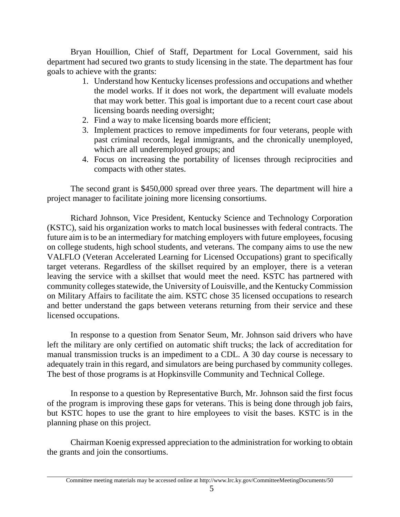Bryan Houillion, Chief of Staff, Department for Local Government, said his department had secured two grants to study licensing in the state. The department has four goals to achieve with the grants:

- 1. Understand how Kentucky licenses professions and occupations and whether the model works. If it does not work, the department will evaluate models that may work better. This goal is important due to a recent court case about licensing boards needing oversight;
- 2. Find a way to make licensing boards more efficient;
- 3. Implement practices to remove impediments for four veterans, people with past criminal records, legal immigrants, and the chronically unemployed, which are all underemployed groups; and
- 4. Focus on increasing the portability of licenses through reciprocities and compacts with other states.

The second grant is \$450,000 spread over three years. The department will hire a project manager to facilitate joining more licensing consortiums.

Richard Johnson, Vice President, Kentucky Science and Technology Corporation (KSTC), said his organization works to match local businesses with federal contracts. The future aim is to be an intermediary for matching employers with future employees, focusing on college students, high school students, and veterans. The company aims to use the new VALFLO (Veteran Accelerated Learning for Licensed Occupations) grant to specifically target veterans. Regardless of the skillset required by an employer, there is a veteran leaving the service with a skillset that would meet the need. KSTC has partnered with community colleges statewide, the University of Louisville, and the Kentucky Commission on Military Affairs to facilitate the aim. KSTC chose 35 licensed occupations to research and better understand the gaps between veterans returning from their service and these licensed occupations.

In response to a question from Senator Seum, Mr. Johnson said drivers who have left the military are only certified on automatic shift trucks; the lack of accreditation for manual transmission trucks is an impediment to a CDL. A 30 day course is necessary to adequately train in this regard, and simulators are being purchased by community colleges. The best of those programs is at Hopkinsville Community and Technical College.

In response to a question by Representative Burch, Mr. Johnson said the first focus of the program is improving these gaps for veterans. This is being done through job fairs, but KSTC hopes to use the grant to hire employees to visit the bases. KSTC is in the planning phase on this project.

Chairman Koenig expressed appreciation to the administration for working to obtain the grants and join the consortiums.

Committee meeting materials may be accessed online at http://www.lrc.ky.gov/CommitteeMeetingDocuments/50